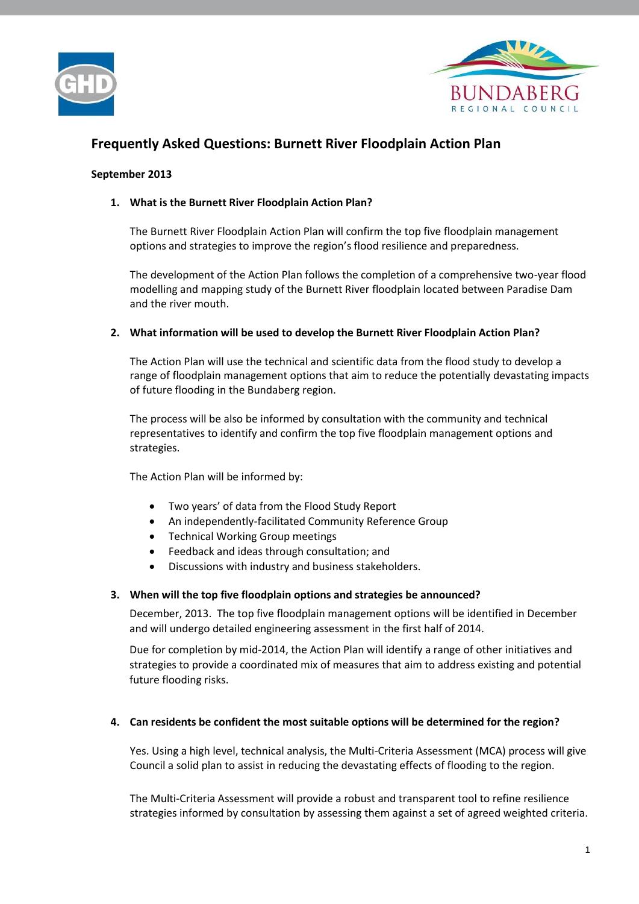



# **Frequently Asked Questions: Burnett River Floodplain Action Plan**

# **September 2013**

# **1. What is the Burnett River Floodplain Action Plan?**

The Burnett River Floodplain Action Plan will confirm the top five floodplain management options and strategies to improve the region's flood resilience and preparedness.

The development of the Action Plan follows the completion of a comprehensive two-year flood modelling and mapping study of the Burnett River floodplain located between Paradise Dam and the river mouth.

# **2. What information will be used to develop the Burnett River Floodplain Action Plan?**

The Action Plan will use the technical and scientific data from the flood study to develop a range of floodplain management options that aim to reduce the potentially devastating impacts of future flooding in the Bundaberg region.

The process will be also be informed by consultation with the community and technical representatives to identify and confirm the top five floodplain management options and strategies.

The Action Plan will be informed by:

- Two years' of data from the Flood Study Report
- An independently-facilitated Community Reference Group
- Technical Working Group meetings
- Feedback and ideas through consultation; and
- Discussions with industry and business stakeholders.

## **3. When will the top five floodplain options and strategies be announced?**

December, 2013. The top five floodplain management options will be identified in December and will undergo detailed engineering assessment in the first half of 2014.

Due for completion by mid-2014, the Action Plan will identify a range of other initiatives and strategies to provide a coordinated mix of measures that aim to address existing and potential future flooding risks.

## **4. Can residents be confident the most suitable options will be determined for the region?**

Yes. Using a high level, technical analysis, the Multi-Criteria Assessment (MCA) process will give Council a solid plan to assist in reducing the devastating effects of flooding to the region.

The Multi-Criteria Assessment will provide a robust and transparent tool to refine resilience strategies informed by consultation by assessing them against a set of agreed weighted criteria.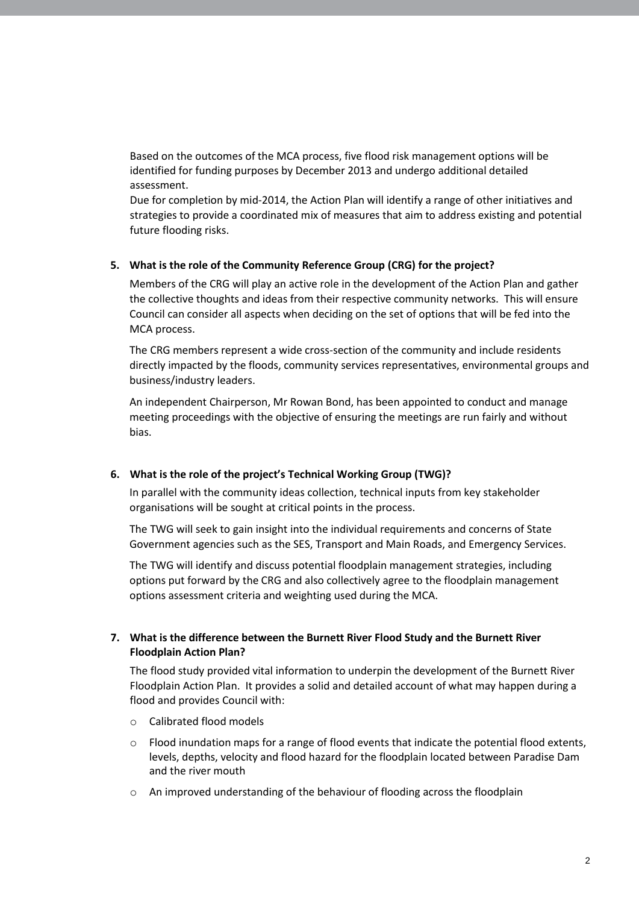Based on the outcomes of the MCA process, five flood risk management options will be identified for funding purposes by December 2013 and undergo additional detailed assessment.

Due for completion by mid-2014, the Action Plan will identify a range of other initiatives and strategies to provide a coordinated mix of measures that aim to address existing and potential future flooding risks.

## **5. What is the role of the Community Reference Group (CRG) for the project?**

Members of the CRG will play an active role in the development of the Action Plan and gather the collective thoughts and ideas from their respective community networks. This will ensure Council can consider all aspects when deciding on the set of options that will be fed into the MCA process.

The CRG members represent a wide cross-section of the community and include residents directly impacted by the floods, community services representatives, environmental groups and business/industry leaders.

An independent Chairperson, Mr Rowan Bond, has been appointed to conduct and manage meeting proceedings with the objective of ensuring the meetings are run fairly and without bias.

## **6. What is the role of the project's Technical Working Group (TWG)?**

In parallel with the community ideas collection, technical inputs from key stakeholder organisations will be sought at critical points in the process.

The TWG will seek to gain insight into the individual requirements and concerns of State Government agencies such as the SES, Transport and Main Roads, and Emergency Services.

The TWG will identify and discuss potential floodplain management strategies, including options put forward by the CRG and also collectively agree to the floodplain management options assessment criteria and weighting used during the MCA.

# **7. What is the difference between the Burnett River Flood Study and the Burnett River Floodplain Action Plan?**

The flood study provided vital information to underpin the development of the Burnett River Floodplain Action Plan. It provides a solid and detailed account of what may happen during a flood and provides Council with:

- o Calibrated flood models
- $\circ$  Flood inundation maps for a range of flood events that indicate the potential flood extents, levels, depths, velocity and flood hazard for the floodplain located between Paradise Dam and the river mouth
- o An improved understanding of the behaviour of flooding across the floodplain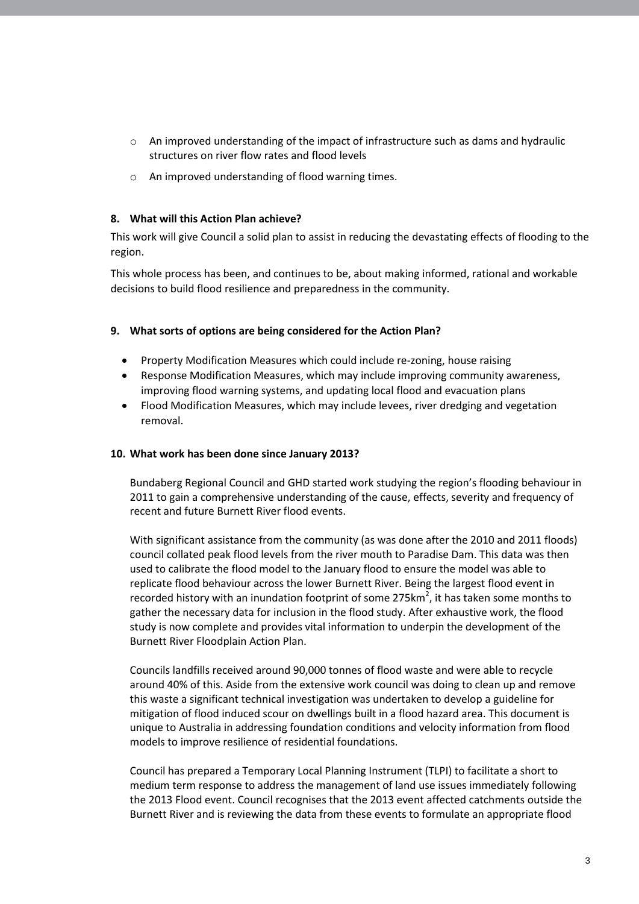- $\circ$  An improved understanding of the impact of infrastructure such as dams and hydraulic structures on river flow rates and flood levels
- o An improved understanding of flood warning times.

## **8. What will this Action Plan achieve?**

This work will give Council a solid plan to assist in reducing the devastating effects of flooding to the region.

This whole process has been, and continues to be, about making informed, rational and workable decisions to build flood resilience and preparedness in the community.

# **9. What sorts of options are being considered for the Action Plan?**

- Property Modification Measures which could include re-zoning, house raising
- Response Modification Measures, which may include improving community awareness, improving flood warning systems, and updating local flood and evacuation plans
- Flood Modification Measures, which may include levees, river dredging and vegetation removal.

## **10. What work has been done since January 2013?**

Bundaberg Regional Council and GHD started work studying the region's flooding behaviour in 2011 to gain a comprehensive understanding of the cause, effects, severity and frequency of recent and future Burnett River flood events.

With significant assistance from the community (as was done after the 2010 and 2011 floods) council collated peak flood levels from the river mouth to Paradise Dam. This data was then used to calibrate the flood model to the January flood to ensure the model was able to replicate flood behaviour across the lower Burnett River. Being the largest flood event in recorded history with an inundation footprint of some 275 $km^2$ , it has taken some months to gather the necessary data for inclusion in the flood study. After exhaustive work, the flood study is now complete and provides vital information to underpin the development of the Burnett River Floodplain Action Plan.

Councils landfills received around 90,000 tonnes of flood waste and were able to recycle around 40% of this. Aside from the extensive work council was doing to clean up and remove this waste a significant technical investigation was undertaken to develop a guideline for mitigation of flood induced scour on dwellings built in a flood hazard area. This document is unique to Australia in addressing foundation conditions and velocity information from flood models to improve resilience of residential foundations.

Council has prepared a Temporary Local Planning Instrument (TLPI) to facilitate a short to medium term response to address the management of land use issues immediately following the 2013 Flood event. Council recognises that the 2013 event affected catchments outside the Burnett River and is reviewing the data from these events to formulate an appropriate flood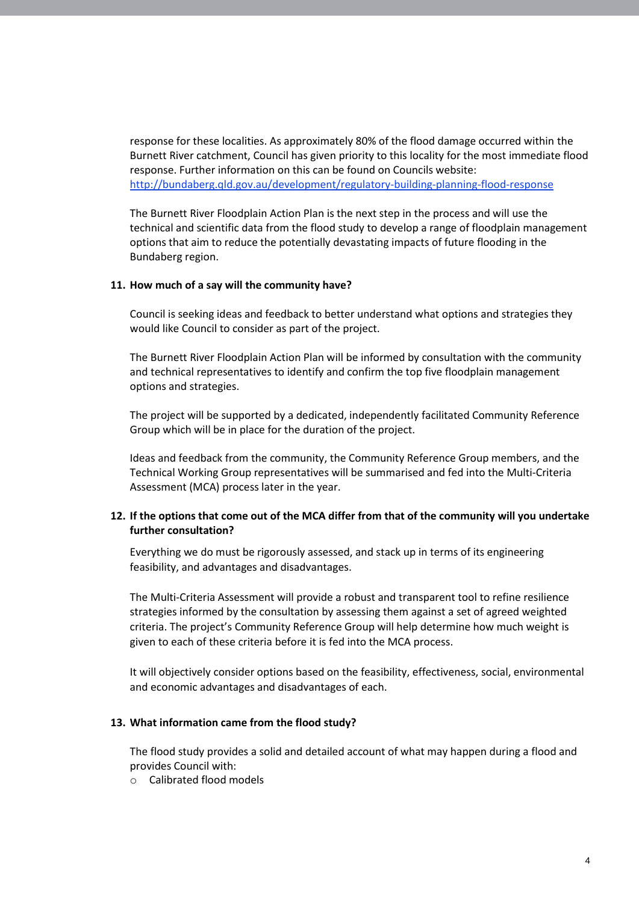response for these localities. As approximately 80% of the flood damage occurred within the Burnett River catchment, Council has given priority to this locality for the most immediate flood response. Further information on this can be found on Councils website: <http://bundaberg.qld.gov.au/development/regulatory-building-planning-flood-response>

The Burnett River Floodplain Action Plan is the next step in the process and will use the technical and scientific data from the flood study to develop a range of floodplain management options that aim to reduce the potentially devastating impacts of future flooding in the Bundaberg region.

### **11. How much of a say will the community have?**

Council is seeking ideas and feedback to better understand what options and strategies they would like Council to consider as part of the project.

The Burnett River Floodplain Action Plan will be informed by consultation with the community and technical representatives to identify and confirm the top five floodplain management options and strategies.

The project will be supported by a dedicated, independently facilitated Community Reference Group which will be in place for the duration of the project.

Ideas and feedback from the community, the Community Reference Group members, and the Technical Working Group representatives will be summarised and fed into the Multi-Criteria Assessment (MCA) process later in the year.

# **12. If the options that come out of the MCA differ from that of the community will you undertake further consultation?**

Everything we do must be rigorously assessed, and stack up in terms of its engineering feasibility, and advantages and disadvantages.

The Multi-Criteria Assessment will provide a robust and transparent tool to refine resilience strategies informed by the consultation by assessing them against a set of agreed weighted criteria. The project's Community Reference Group will help determine how much weight is given to each of these criteria before it is fed into the MCA process.

It will objectively consider options based on the feasibility, effectiveness, social, environmental and economic advantages and disadvantages of each.

#### **13. What information came from the flood study?**

The flood study provides a solid and detailed account of what may happen during a flood and provides Council with:

o Calibrated flood models